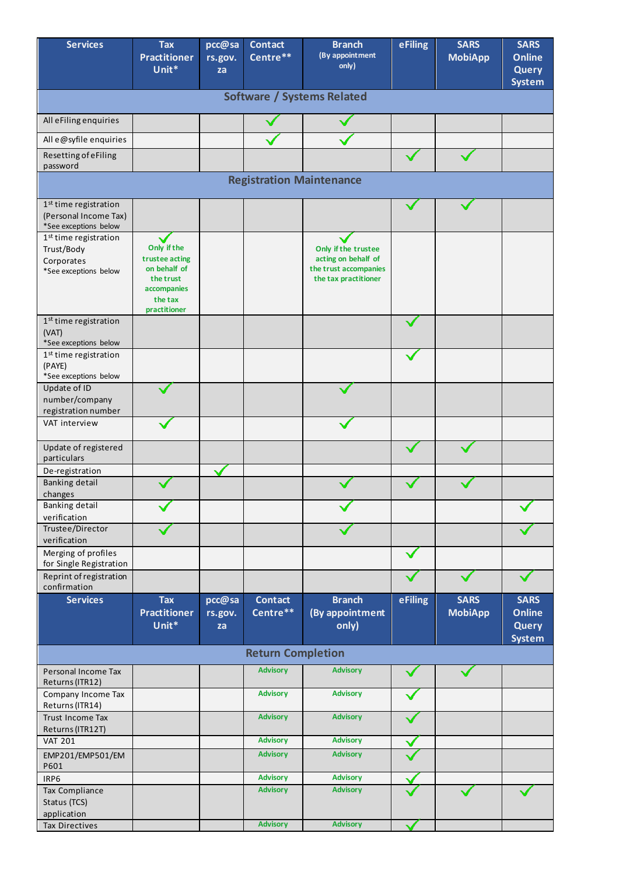| <b>Services</b>                                                                        | <b>Tax</b><br><b>Practitioner</b><br>Unit*                                                           | pcc@sa<br>rs.gov.<br>za | <b>Contact</b><br>Centre** | <b>Branch</b><br>(By appointment<br>only)                                                   | eFiling | <b>SARS</b><br><b>MobiApp</b> | <b>SARS</b><br><b>Online</b><br><b>Query</b><br><b>System</b> |  |
|----------------------------------------------------------------------------------------|------------------------------------------------------------------------------------------------------|-------------------------|----------------------------|---------------------------------------------------------------------------------------------|---------|-------------------------------|---------------------------------------------------------------|--|
| <b>Software / Systems Related</b>                                                      |                                                                                                      |                         |                            |                                                                                             |         |                               |                                                               |  |
| All eFiling enquiries                                                                  |                                                                                                      |                         |                            |                                                                                             |         |                               |                                                               |  |
| All e@syfile enquiries                                                                 |                                                                                                      |                         |                            |                                                                                             |         |                               |                                                               |  |
| Resetting of eFiling<br>password                                                       |                                                                                                      |                         |                            |                                                                                             |         |                               |                                                               |  |
| <b>Registration Maintenance</b>                                                        |                                                                                                      |                         |                            |                                                                                             |         |                               |                                                               |  |
| 1 <sup>st</sup> time registration<br>(Personal Income Tax)<br>*See exceptions below    |                                                                                                      |                         |                            |                                                                                             |         |                               |                                                               |  |
| 1 <sup>st</sup> time registration<br>Trust/Body<br>Corporates<br>*See exceptions below | Only if the<br>trustee acting<br>on behalf of<br>the trust<br>accompanies<br>the tax<br>practitioner |                         |                            | Only if the trustee<br>acting on behalf of<br>the trust accompanies<br>the tax practitioner |         |                               |                                                               |  |
| 1 <sup>st</sup> time registration<br>(VAT)<br>*See exceptions below                    |                                                                                                      |                         |                            |                                                                                             |         |                               |                                                               |  |
| 1 <sup>st</sup> time registration<br>(PAYE)<br>*See exceptions below                   |                                                                                                      |                         |                            |                                                                                             |         |                               |                                                               |  |
| Update of ID<br>number/company<br>registration number                                  |                                                                                                      |                         |                            |                                                                                             |         |                               |                                                               |  |
| VAT interview                                                                          |                                                                                                      |                         |                            |                                                                                             |         |                               |                                                               |  |
| Update of registered<br>particulars                                                    |                                                                                                      |                         |                            |                                                                                             |         |                               |                                                               |  |
| De-registration<br><b>Banking detail</b>                                               |                                                                                                      |                         |                            |                                                                                             |         |                               |                                                               |  |
| changes<br>Banking detail<br>verification                                              |                                                                                                      |                         |                            |                                                                                             |         |                               |                                                               |  |
| Trustee/Director<br>verification                                                       |                                                                                                      |                         |                            |                                                                                             |         |                               |                                                               |  |
| Merging of profiles<br>for Single Registration                                         |                                                                                                      |                         |                            |                                                                                             |         |                               |                                                               |  |
| Reprint of registration<br>confirmation                                                |                                                                                                      |                         |                            |                                                                                             |         |                               |                                                               |  |
| <b>Services</b>                                                                        | <b>Tax</b><br><b>Practitioner</b><br>Unit*                                                           | pcc@sa<br>rs.gov.<br>za | <b>Contact</b><br>Centre** | <b>Branch</b><br>(By appointment<br>only)                                                   | eFiling | <b>SARS</b><br><b>MobiApp</b> | <b>SARS</b><br><b>Online</b><br><b>Query</b><br><b>System</b> |  |
|                                                                                        |                                                                                                      |                         | <b>Return Completion</b>   |                                                                                             |         |                               |                                                               |  |
| Personal Income Tax<br>Returns (ITR12)                                                 |                                                                                                      |                         | <b>Advisory</b>            | <b>Advisory</b>                                                                             |         |                               |                                                               |  |
| Company Income Tax<br>Returns (ITR14)                                                  |                                                                                                      |                         | <b>Advisory</b>            | <b>Advisory</b>                                                                             |         |                               |                                                               |  |
| Trust Income Tax<br>Returns (ITR12T)                                                   |                                                                                                      |                         | <b>Advisory</b>            | <b>Advisory</b>                                                                             |         |                               |                                                               |  |
| <b>VAT 201</b>                                                                         |                                                                                                      |                         | <b>Advisory</b>            | <b>Advisory</b>                                                                             |         |                               |                                                               |  |
| EMP201/EMP501/EM<br>P601                                                               |                                                                                                      |                         | <b>Advisory</b>            | <b>Advisory</b>                                                                             |         |                               |                                                               |  |
| IRP6                                                                                   |                                                                                                      |                         | <b>Advisory</b>            | <b>Advisory</b>                                                                             |         |                               |                                                               |  |
| Tax Compliance<br>Status (TCS)<br>application                                          |                                                                                                      |                         | <b>Advisory</b>            | <b>Advisory</b>                                                                             |         |                               |                                                               |  |
| Tax Directives                                                                         |                                                                                                      |                         | <b>Advisory</b>            | <b>Advisory</b>                                                                             |         |                               |                                                               |  |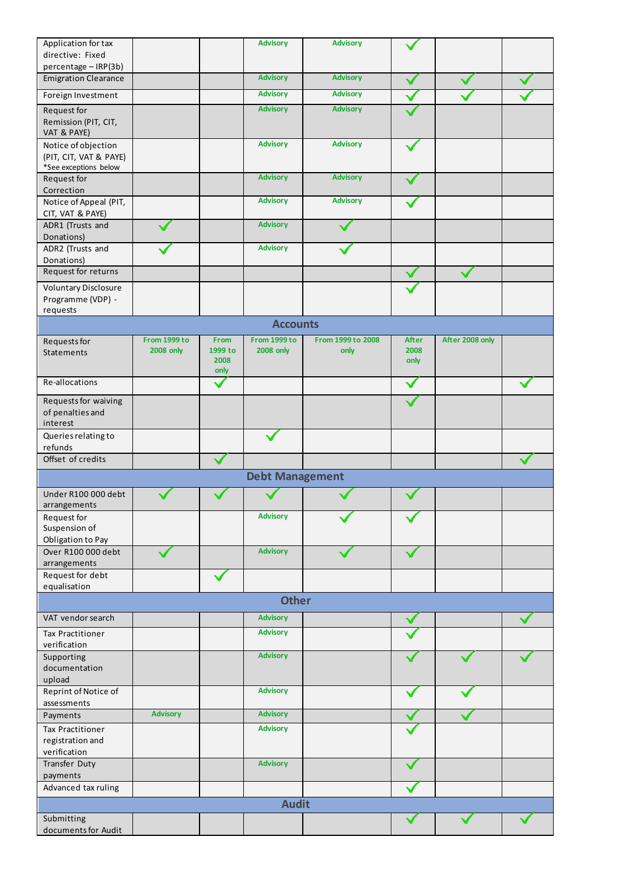| Application for tax                              |                  |              | <b>Advisory</b>        | <b>Advisory</b>   |              |                 |              |  |
|--------------------------------------------------|------------------|--------------|------------------------|-------------------|--------------|-----------------|--------------|--|
| directive: Fixed                                 |                  |              |                        |                   |              |                 |              |  |
| percentage - IRP(3b)                             |                  |              |                        |                   |              |                 |              |  |
| <b>Emigration Clearance</b>                      |                  |              | <b>Advisory</b>        | <b>Advisory</b>   |              |                 |              |  |
| Foreign Investment                               |                  |              | <b>Advisory</b>        | <b>Advisory</b>   |              |                 |              |  |
| Request for                                      |                  |              | <b>Advisory</b>        | <b>Advisory</b>   |              |                 |              |  |
| Remission (PIT, CIT,<br>VAT & PAYE)              |                  |              |                        |                   |              |                 |              |  |
| Notice of objection                              |                  |              | <b>Advisory</b>        | <b>Advisory</b>   |              |                 |              |  |
| (PIT, CIT, VAT & PAYE)                           |                  |              |                        |                   |              |                 |              |  |
| *See exceptions below<br>Request for             |                  |              | <b>Advisory</b>        | <b>Advisory</b>   |              |                 |              |  |
| Correction                                       |                  |              |                        |                   |              |                 |              |  |
| Notice of Appeal (PIT,                           |                  |              | <b>Advisory</b>        | <b>Advisory</b>   |              |                 |              |  |
| CIT, VAT & PAYE)                                 |                  |              |                        |                   |              |                 |              |  |
| ADR1 (Trusts and                                 |                  |              | <b>Advisory</b>        |                   |              |                 |              |  |
| Donations)                                       |                  |              |                        |                   |              |                 |              |  |
| ADR2 (Trusts and                                 |                  |              | <b>Advisory</b>        |                   |              |                 |              |  |
| Donations)<br>Request for returns                |                  |              |                        |                   |              |                 |              |  |
|                                                  |                  |              |                        |                   |              |                 |              |  |
| <b>Voluntary Disclosure</b><br>Programme (VDP) - |                  |              |                        |                   |              |                 |              |  |
| requests                                         |                  |              |                        |                   |              |                 |              |  |
|                                                  |                  |              | <b>Accounts</b>        |                   |              |                 |              |  |
|                                                  | From 1999 to     | <b>From</b>  | From 1999 to           | From 1999 to 2008 | <b>After</b> | After 2008 only |              |  |
| Requests for<br>Statements                       | <b>2008 only</b> | 1999 to      | <b>2008 only</b>       | only              | 2008         |                 |              |  |
|                                                  |                  | 2008         |                        |                   | only         |                 |              |  |
| Re-allocations                                   |                  | only         |                        |                   |              |                 |              |  |
|                                                  |                  | $\checkmark$ |                        |                   | $\checkmark$ |                 | $\checkmark$ |  |
| Requests for waiving                             |                  |              |                        |                   |              |                 |              |  |
| of penalties and<br>interest                     |                  |              |                        |                   |              |                 |              |  |
| Queries relating to                              |                  |              |                        |                   |              |                 |              |  |
| refunds                                          |                  |              |                        |                   |              |                 |              |  |
| Offset of credits                                |                  |              |                        |                   |              |                 |              |  |
|                                                  |                  |              | <b>Debt Management</b> |                   |              |                 |              |  |
| Under R100 000 debt                              |                  |              |                        |                   |              |                 |              |  |
| arrangements                                     |                  |              |                        |                   |              |                 |              |  |
| Request for                                      |                  |              | <b>Advisory</b>        |                   |              |                 |              |  |
| Suspension of                                    |                  |              |                        |                   |              |                 |              |  |
| Obligation to Pay                                |                  |              |                        |                   |              |                 |              |  |
| Over R100 000 debt                               |                  |              | <b>Advisory</b>        |                   |              |                 |              |  |
| arrangements                                     |                  |              |                        |                   |              |                 |              |  |
| Request for debt<br>equalisation                 |                  |              |                        |                   |              |                 |              |  |
|                                                  |                  |              | <b>Other</b>           |                   |              |                 |              |  |
|                                                  |                  |              | <b>Advisory</b>        |                   |              |                 |              |  |
| VAT vendor search                                |                  |              |                        |                   |              |                 |              |  |
| <b>Tax Practitioner</b><br>verification          |                  |              | <b>Advisory</b>        |                   |              |                 |              |  |
| Supporting                                       |                  |              | <b>Advisory</b>        |                   |              |                 |              |  |
| documentation                                    |                  |              |                        |                   |              |                 |              |  |
| upload                                           |                  |              |                        |                   |              |                 |              |  |
| Reprint of Notice of                             |                  |              | <b>Advisory</b>        |                   |              |                 |              |  |
| assessments                                      |                  |              |                        |                   |              |                 |              |  |
| Payments                                         | <b>Advisory</b>  |              | <b>Advisory</b>        |                   |              |                 |              |  |
| <b>Tax Practitioner</b>                          |                  |              | <b>Advisory</b>        |                   |              |                 |              |  |
| registration and<br>verification                 |                  |              |                        |                   |              |                 |              |  |
| Transfer Duty                                    |                  |              | <b>Advisory</b>        |                   |              |                 |              |  |
| payments                                         |                  |              |                        |                   |              |                 |              |  |
| Advanced tax ruling                              |                  |              |                        |                   |              |                 |              |  |
| <b>Audit</b>                                     |                  |              |                        |                   |              |                 |              |  |
| Submitting                                       |                  |              |                        |                   |              |                 |              |  |
| documents for Audit                              |                  |              |                        |                   |              |                 |              |  |